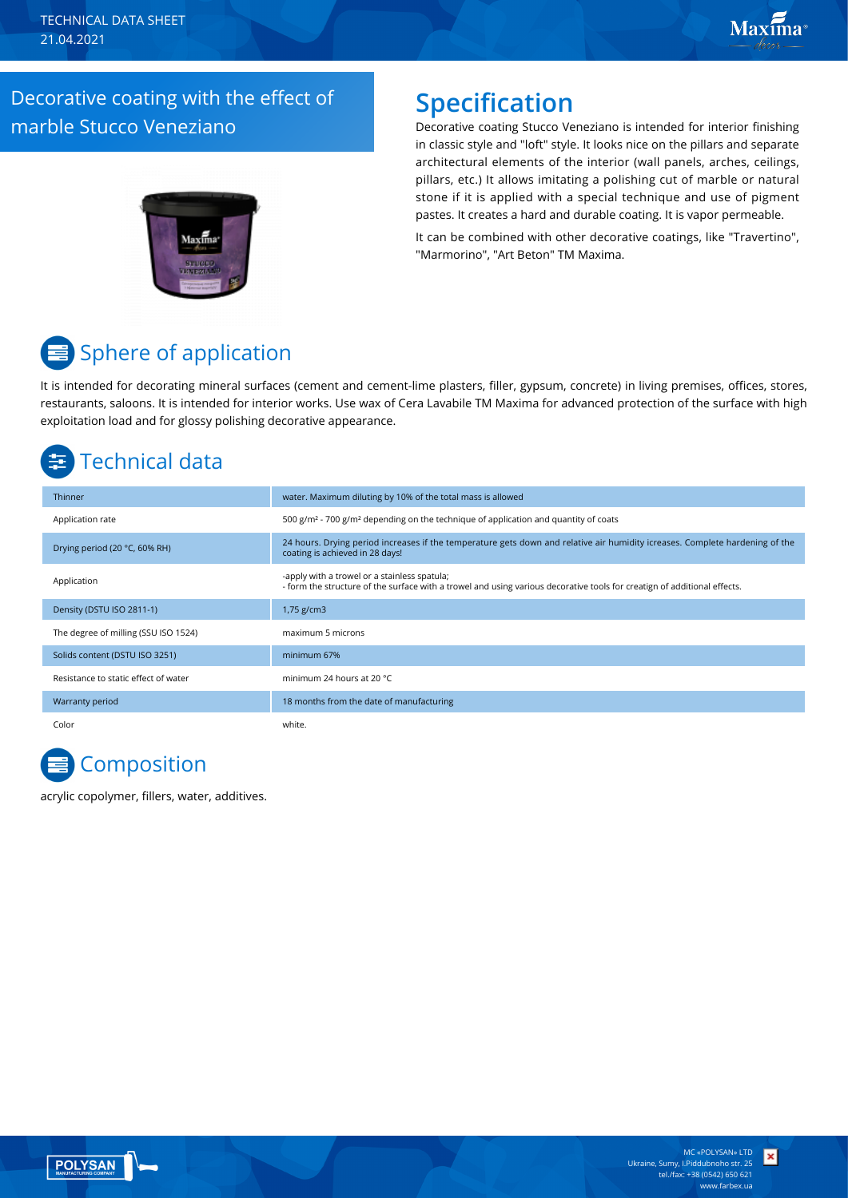### Decorative coating with the effect of marble Stucco Veneziano

### **Specification**

Decorative coating Stucco Veneziano is intended for interior finishing in classic style and "loft" style. It looks nice on the pillars and separate architectural elements of the interior (wall panels, arches, ceilings, pillars, etc.) It allows imitating a polishing cut of marble or natural stone if it is applied with a special technique and use of pigment pastes. It creates a hard and durable coating. It is vapor permeable.

It can be combined with other decorative coatings, like "Travertino", "Marmorino", "Art Beton" TM Maxima.

# Sphere of application

It is intended for decorating mineral surfaces (cement and cement-lime plasters, filler, gypsum, concrete) in living premises, offices, stores, restaurants, saloons. It is intended for interior works. Use wax of Cera Lavabile TM Maxima for advanced protection of the surface with high exploitation load and for glossy polishing decorative appearance.

# Technical data

| Thinner                              | water. Maximum diluting by 10% of the total mass is allowed                                                                                                              |
|--------------------------------------|--------------------------------------------------------------------------------------------------------------------------------------------------------------------------|
| Application rate                     | 500 g/m <sup>2</sup> - 700 g/m <sup>2</sup> depending on the technique of application and quantity of coats                                                              |
| Drying period (20 °C, 60% RH)        | 24 hours. Drying period increases if the temperature gets down and relative air humidity icreases. Complete hardening of the<br>coating is achieved in 28 days!          |
| Application                          | -apply with a trowel or a stainless spatula;<br>- form the structure of the surface with a trowel and using various decorative tools for creatign of additional effects. |
| Density (DSTU ISO 2811-1)            | $1,75$ g/cm3                                                                                                                                                             |
| The degree of milling (SSU ISO 1524) | maximum 5 microns                                                                                                                                                        |
| Solids content (DSTU ISO 3251)       | minimum 67%                                                                                                                                                              |
| Resistance to static effect of water | minimum 24 hours at 20 °C                                                                                                                                                |
| Warranty period                      | 18 months from the date of manufacturing                                                                                                                                 |
| Color                                | white.                                                                                                                                                                   |

# **Composition**

acrylic copolymer, fillers, water, additives.



×